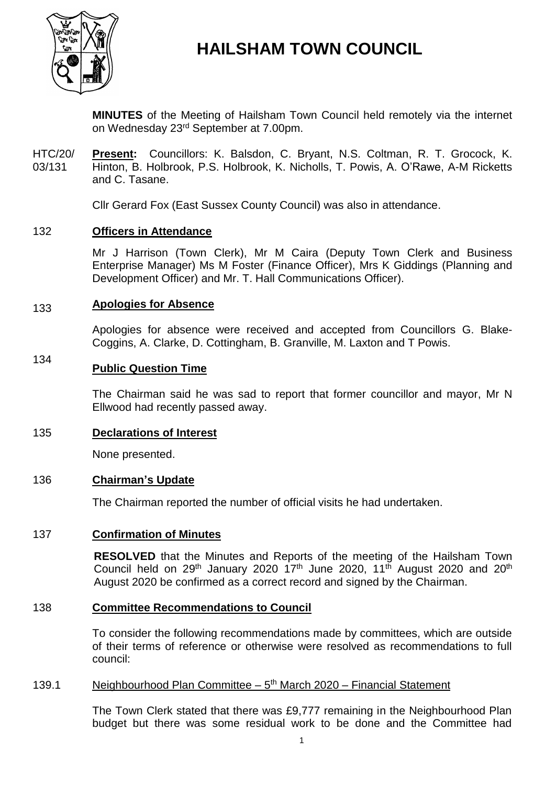

# **HAILSHAM TOWN COUNCIL**

**MINUTES** of the Meeting of Hailsham Town Council held remotely via the internet on Wednesday 23rd September at 7.00pm.

HTC/20/ 03/131 **Present:** Councillors: K. Balsdon, C. Bryant, N.S. Coltman, R. T. Grocock, K. Hinton, B. Holbrook, P.S. Holbrook, K. Nicholls, T. Powis, A. O'Rawe, A-M Ricketts and C. Tasane.

Cllr Gerard Fox (East Sussex County Council) was also in attendance.

#### 132 **Officers in Attendance**

Mr J Harrison (Town Clerk), Mr M Caira (Deputy Town Clerk and Business Enterprise Manager) Ms M Foster (Finance Officer), Mrs K Giddings (Planning and Development Officer) and Mr. T. Hall Communications Officer).

#### 133 **Apologies for Absence**

Apologies for absence were received and accepted from Councillors G. Blake-Coggins, A. Clarke, D. Cottingham, B. Granville, M. Laxton and T Powis.

### 134 **Public Question Time**

The Chairman said he was sad to report that former councillor and mayor, Mr N Ellwood had recently passed away.

### 135 **Declarations of Interest**

None presented.

### 136 **Chairman's Update**

The Chairman reported the number of official visits he had undertaken.

### 137 **Confirmation of Minutes**

**RESOLVED** that the Minutes and Reports of the meeting of the Hailsham Town Council held on 29<sup>th</sup> January 2020 17<sup>th</sup> June 2020, 11<sup>th</sup> August 2020 and 20<sup>th</sup> August 2020 be confirmed as a correct record and signed by the Chairman.

#### 138 **Committee Recommendations to Council**

To consider the following recommendations made by committees, which are outside of their terms of reference or otherwise were resolved as recommendations to full council:

#### 139.1 Neighbourhood Plan Committee - 5<sup>th</sup> March 2020 - Financial Statement

The Town Clerk stated that there was £9,777 remaining in the Neighbourhood Plan budget but there was some residual work to be done and the Committee had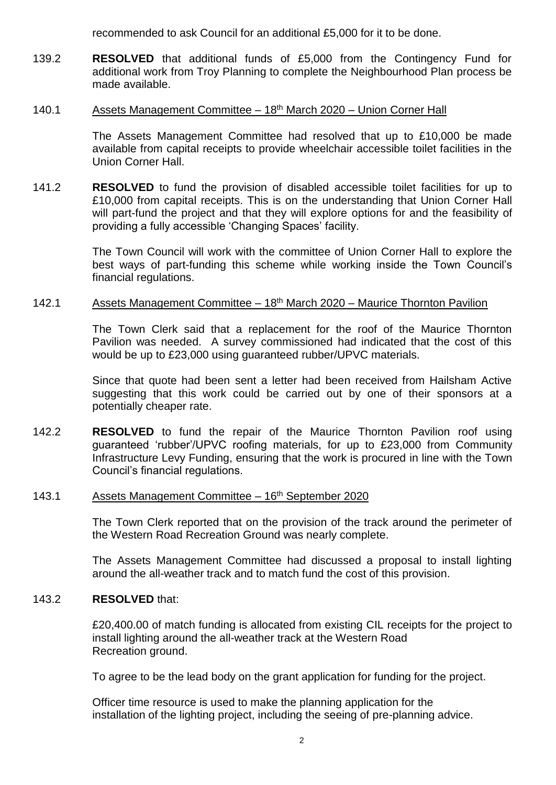recommended to ask Council for an additional £5,000 for it to be done.

139.2 **RESOLVED** that additional funds of £5,000 from the Contingency Fund for additional work from Troy Planning to complete the Neighbourhood Plan process be made available.

#### 140.1 Assets Management Committee – 18th March 2020 – Union Corner Hall

The Assets Management Committee had resolved that up to £10,000 be made available from capital receipts to provide wheelchair accessible toilet facilities in the Union Corner Hall.

141.2 **RESOLVED** to fund the provision of disabled accessible toilet facilities for up to £10,000 from capital receipts. This is on the understanding that Union Corner Hall will part-fund the project and that they will explore options for and the feasibility of providing a fully accessible 'Changing Spaces' facility.

> The Town Council will work with the committee of Union Corner Hall to explore the best ways of part-funding this scheme while working inside the Town Council's financial regulations.

#### 142.1 Assets Management Committee – 18<sup>th</sup> March 2020 – Maurice Thornton Pavilion

The Town Clerk said that a replacement for the roof of the Maurice Thornton Pavilion was needed. A survey commissioned had indicated that the cost of this would be up to £23,000 using guaranteed rubber/UPVC materials.

Since that quote had been sent a letter had been received from Hailsham Active suggesting that this work could be carried out by one of their sponsors at a potentially cheaper rate.

142.2 **RESOLVED** to fund the repair of the Maurice Thornton Pavilion roof using guaranteed 'rubber'/UPVC roofing materials, for up to £23,000 from Community Infrastructure Levy Funding, ensuring that the work is procured in line with the Town Council's financial regulations.

#### 143.1 Assets Management Committee - 16<sup>th</sup> September 2020

The Town Clerk reported that on the provision of the track around the perimeter of the Western Road Recreation Ground was nearly complete.

The Assets Management Committee had discussed a proposal to install lighting around the all-weather track and to match fund the cost of this provision.

#### 143.2 **RESOLVED** that:

£20,400.00 of match funding is allocated from existing CIL receipts for the project to install lighting around the all-weather track at the Western Road Recreation ground.

To agree to be the lead body on the grant application for funding for the project.

Officer time resource is used to make the planning application for the installation of the lighting project, including the seeing of pre-planning advice.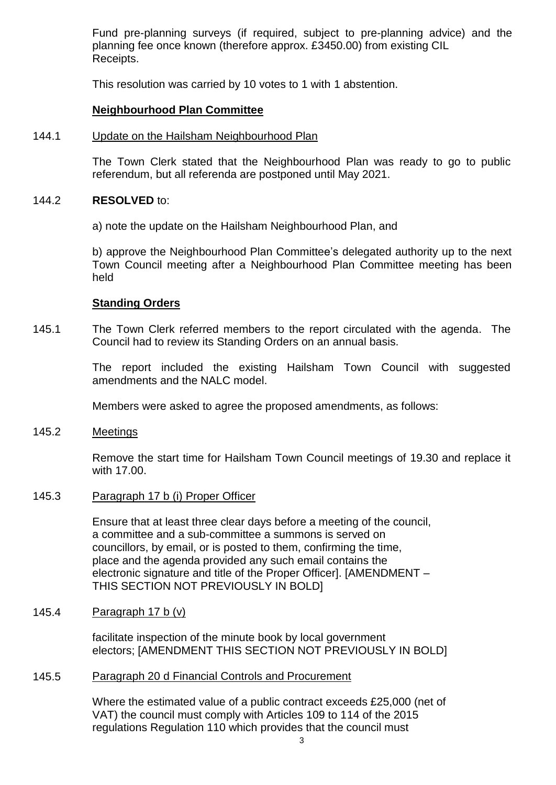Fund pre-planning surveys (if required, subject to pre-planning advice) and the planning fee once known (therefore approx. £3450.00) from existing CIL Receipts.

This resolution was carried by 10 votes to 1 with 1 abstention.

### **Neighbourhood Plan Committee**

#### 144.1 Update on the Hailsham Neighbourhood Plan

The Town Clerk stated that the Neighbourhood Plan was ready to go to public referendum, but all referenda are postponed until May 2021.

#### 144.2 **RESOLVED** to:

a) note the update on the Hailsham Neighbourhood Plan, and

b) approve the Neighbourhood Plan Committee's delegated authority up to the next Town Council meeting after a Neighbourhood Plan Committee meeting has been held

### **Standing Orders**

145.1 The Town Clerk referred members to the report circulated with the agenda. The Council had to review its Standing Orders on an annual basis.

> The report included the existing Hailsham Town Council with suggested amendments and the NALC model.

Members were asked to agree the proposed amendments, as follows:

#### 145.2 **Meetings**

Remove the start time for Hailsham Town Council meetings of 19.30 and replace it with 17.00.

#### 145.3 Paragraph 17 b (i) Proper Officer

Ensure that at least three clear days before a meeting of the council, a committee and a sub-committee a summons is served on councillors, by email, or is posted to them, confirming the time, place and the agenda provided any such email contains the electronic signature and title of the Proper Officer]. [AMENDMENT – THIS SECTION NOT PREVIOUSLY IN BOLD]

#### 145.4 Paragraph 17 b (v)

facilitate inspection of the minute book by local government electors; [AMENDMENT THIS SECTION NOT PREVIOUSLY IN BOLD]

#### 145.5 Paragraph 20 d Financial Controls and Procurement

Where the estimated value of a public contract exceeds £25,000 (net of VAT) the council must comply with Articles 109 to 114 of the 2015 regulations Regulation 110 which provides that the council must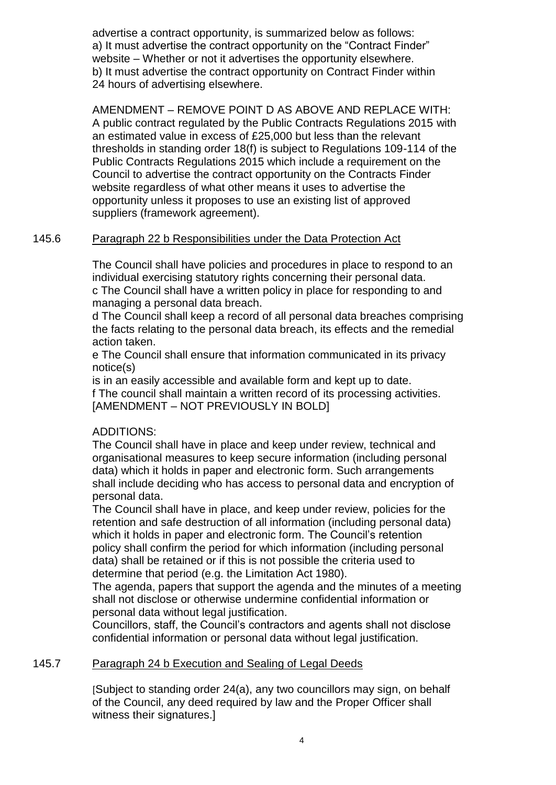advertise a contract opportunity, is summarized below as follows: a) It must advertise the contract opportunity on the "Contract Finder" website – Whether or not it advertises the opportunity elsewhere. b) It must advertise the contract opportunity on Contract Finder within 24 hours of advertising elsewhere.

AMENDMENT – REMOVE POINT D AS ABOVE AND REPLACE WITH: A public contract regulated by the Public Contracts Regulations 2015 with an estimated value in excess of £25,000 but less than the relevant thresholds in standing order 18(f) is subject to Regulations 109-114 of the Public Contracts Regulations 2015 which include a requirement on the Council to advertise the contract opportunity on the Contracts Finder website regardless of what other means it uses to advertise the opportunity unless it proposes to use an existing list of approved suppliers (framework agreement).

#### 145.6 Paragraph 22 b Responsibilities under the Data Protection Act

The Council shall have policies and procedures in place to respond to an individual exercising statutory rights concerning their personal data. c The Council shall have a written policy in place for responding to and managing a personal data breach.

d The Council shall keep a record of all personal data breaches comprising the facts relating to the personal data breach, its effects and the remedial action taken.

e The Council shall ensure that information communicated in its privacy notice(s)

is in an easily accessible and available form and kept up to date. f The council shall maintain a written record of its processing activities. [AMENDMENT – NOT PREVIOUSLY IN BOLD]

## ADDITIONS:

The Council shall have in place and keep under review, technical and organisational measures to keep secure information (including personal data) which it holds in paper and electronic form. Such arrangements shall include deciding who has access to personal data and encryption of personal data.

The Council shall have in place, and keep under review, policies for the retention and safe destruction of all information (including personal data) which it holds in paper and electronic form. The Council's retention policy shall confirm the period for which information (including personal data) shall be retained or if this is not possible the criteria used to determine that period (e.g. the Limitation Act 1980).

The agenda, papers that support the agenda and the minutes of a meeting shall not disclose or otherwise undermine confidential information or personal data without legal justification.

Councillors, staff, the Council's contractors and agents shall not disclose confidential information or personal data without legal justification.

#### 145.7 Paragraph 24 b Execution and Sealing of Legal Deeds

[Subject to standing order 24(a), any two councillors may sign, on behalf of the Council, any deed required by law and the Proper Officer shall witness their signatures.]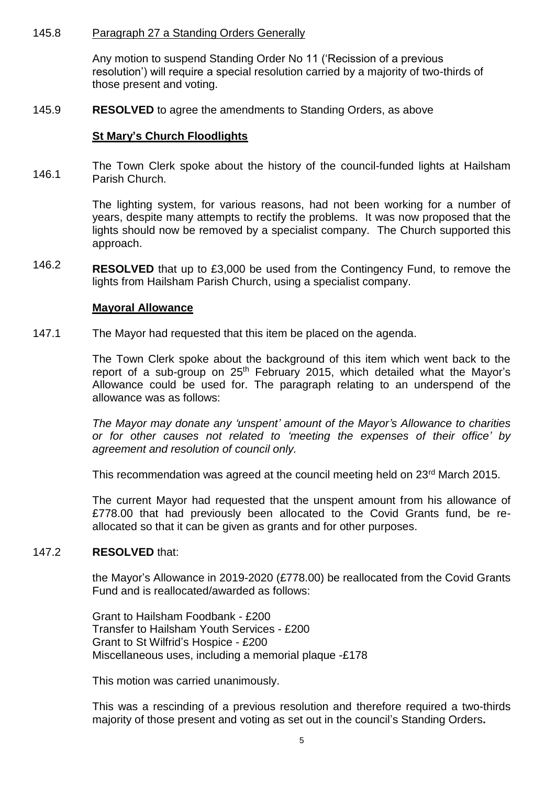#### 145.8 Paragraph 27 a Standing Orders Generally

Any motion to suspend Standing Order No 11 ('Recission of a previous resolution') will require a special resolution carried by a majority of two-thirds of those present and voting.

#### 145.9 **RESOLVED** to agree the amendments to Standing Orders, as above

### **St Mary's Church Floodlights**

146.1 The Town Clerk spoke about the history of the council-funded lights at Hailsham Parish Church.

> The lighting system, for various reasons, had not been working for a number of years, despite many attempts to rectify the problems. It was now proposed that the lights should now be removed by a specialist company. The Church supported this approach.

146.2 **RESOLVED** that up to £3,000 be used from the Contingency Fund, to remove the lights from Hailsham Parish Church, using a specialist company.

### **Mayoral Allowance**

147.1 The Mayor had requested that this item be placed on the agenda.

> The Town Clerk spoke about the background of this item which went back to the report of a sub-group on 25<sup>th</sup> February 2015, which detailed what the Mayor's Allowance could be used for. The paragraph relating to an underspend of the allowance was as follows:

> *The Mayor may donate any 'unspent' amount of the Mayor's Allowance to charities or for other causes not related to 'meeting the expenses of their office' by agreement and resolution of council only.*

This recommendation was agreed at the council meeting held on 23<sup>rd</sup> March 2015.

The current Mayor had requested that the unspent amount from his allowance of £778.00 that had previously been allocated to the Covid Grants fund, be reallocated so that it can be given as grants and for other purposes.

#### 147.2 **RESOLVED** that:

the Mayor's Allowance in 2019-2020 (£778.00) be reallocated from the Covid Grants Fund and is reallocated/awarded as follows:

Grant to Hailsham Foodbank - £200 Transfer to Hailsham Youth Services - £200 Grant to St Wilfrid's Hospice - £200 Miscellaneous uses, including a memorial plaque -£178

This motion was carried unanimously.

This was a rescinding of a previous resolution and therefore required a two-thirds majority of those present and voting as set out in the council's Standing Orders**.**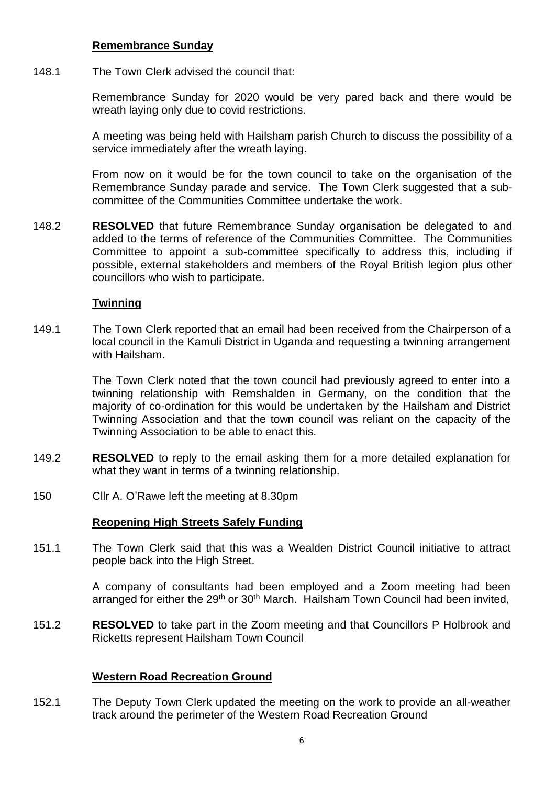### **Remembrance Sunday**

148.1 The Town Clerk advised the council that:

> Remembrance Sunday for 2020 would be very pared back and there would be wreath laying only due to covid restrictions.

> A meeting was being held with Hailsham parish Church to discuss the possibility of a service immediately after the wreath laying.

> From now on it would be for the town council to take on the organisation of the Remembrance Sunday parade and service. The Town Clerk suggested that a subcommittee of the Communities Committee undertake the work.

148.2 **RESOLVED** that future Remembrance Sunday organisation be delegated to and added to the terms of reference of the Communities Committee. The Communities Committee to appoint a sub-committee specifically to address this, including if possible, external stakeholders and members of the Royal British legion plus other councillors who wish to participate.

### **Twinning**

149.1 The Town Clerk reported that an email had been received from the Chairperson of a local council in the Kamuli District in Uganda and requesting a twinning arrangement with Hailsham.

> The Town Clerk noted that the town council had previously agreed to enter into a twinning relationship with Remshalden in Germany, on the condition that the majority of co-ordination for this would be undertaken by the Hailsham and District Twinning Association and that the town council was reliant on the capacity of the Twinning Association to be able to enact this.

- 149.2 **RESOLVED** to reply to the email asking them for a more detailed explanation for what they want in terms of a twinning relationship.
- 150 Cllr A. O'Rawe left the meeting at 8.30pm

### **Reopening High Streets Safely Funding**

151.1 The Town Clerk said that this was a Wealden District Council initiative to attract people back into the High Street.

> A company of consultants had been employed and a Zoom meeting had been arranged for either the  $29<sup>th</sup>$  or  $30<sup>th</sup>$  March. Hailsham Town Council had been invited,

151.2 **RESOLVED** to take part in the Zoom meeting and that Councillors P Holbrook and Ricketts represent Hailsham Town Council

### **Western Road Recreation Ground**

152.1 The Deputy Town Clerk updated the meeting on the work to provide an all-weather track around the perimeter of the Western Road Recreation Ground